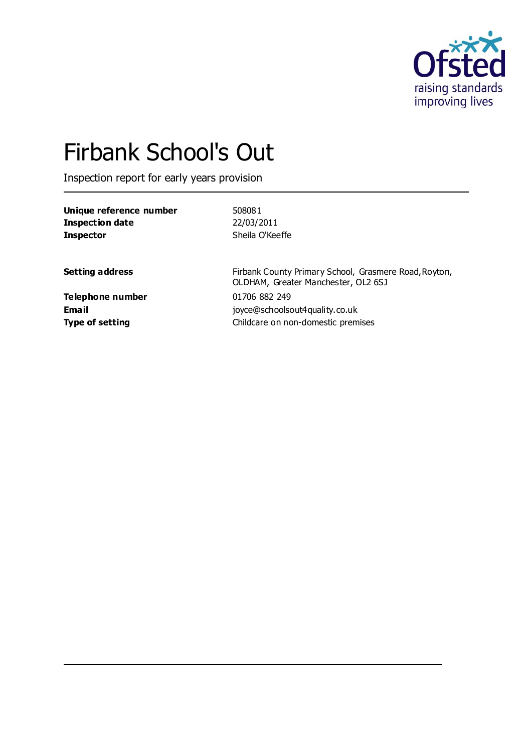

# Firbank School's Out

Inspection report for early years provision

| Unique reference number | 508081                                                                                       |
|-------------------------|----------------------------------------------------------------------------------------------|
| <b>Inspection date</b>  | 22/03/2011                                                                                   |
| <b>Inspector</b>        | Sheila O'Keeffe                                                                              |
| <b>Setting address</b>  | Firbank County Primary School, Grasmere Road, Royton,<br>OLDHAM, Greater Manchester, OL2 6SJ |
| <b>Telephone number</b> | 01706 882 249                                                                                |
| Email                   | joyce@schoolsout4quality.co.uk                                                               |
| <b>Type of setting</b>  | Childcare on non-domestic premises                                                           |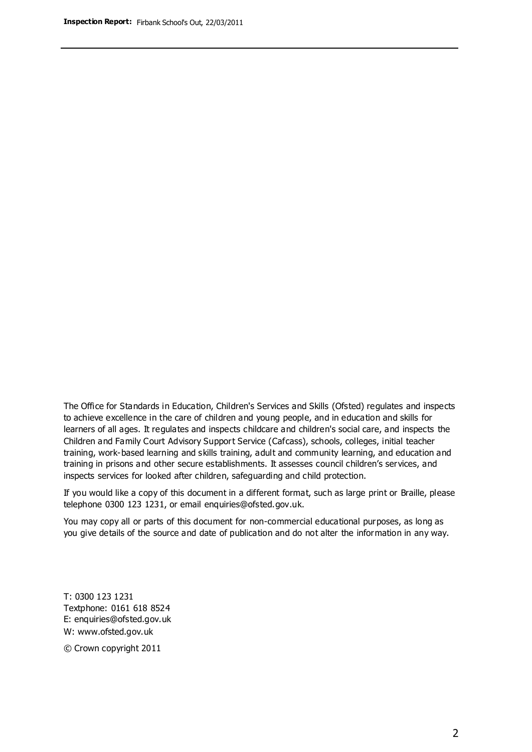The Office for Standards in Education, Children's Services and Skills (Ofsted) regulates and inspects to achieve excellence in the care of children and young people, and in education and skills for learners of all ages. It regulates and inspects childcare and children's social care, and inspects the Children and Family Court Advisory Support Service (Cafcass), schools, colleges, initial teacher training, work-based learning and skills training, adult and community learning, and education and training in prisons and other secure establishments. It assesses council children's services, and inspects services for looked after children, safeguarding and child protection.

If you would like a copy of this document in a different format, such as large print or Braille, please telephone 0300 123 1231, or email enquiries@ofsted.gov.uk.

You may copy all or parts of this document for non-commercial educational purposes, as long as you give details of the source and date of publication and do not alter the information in any way.

T: 0300 123 1231 Textphone: 0161 618 8524 E: enquiries@ofsted.gov.uk W: [www.ofsted.gov.uk](http://www.ofsted.gov.uk/)

© Crown copyright 2011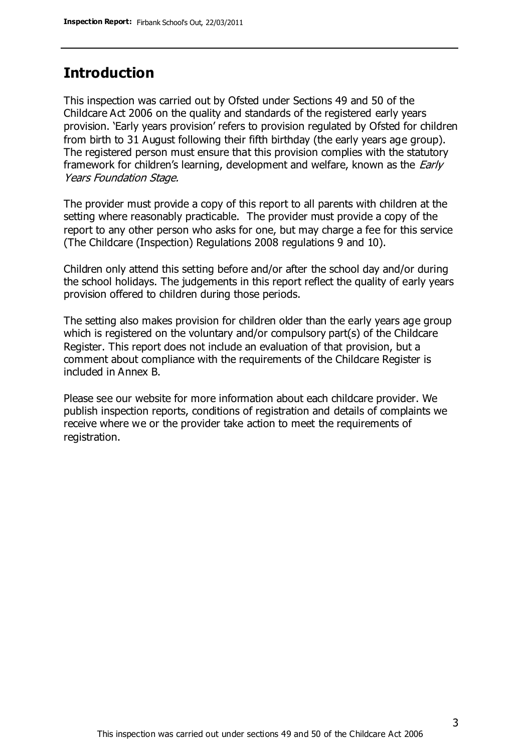### **Introduction**

This inspection was carried out by Ofsted under Sections 49 and 50 of the Childcare Act 2006 on the quality and standards of the registered early years provision. 'Early years provision' refers to provision regulated by Ofsted for children from birth to 31 August following their fifth birthday (the early years age group). The registered person must ensure that this provision complies with the statutory framework for children's learning, development and welfare, known as the *Early* Years Foundation Stage.

The provider must provide a copy of this report to all parents with children at the setting where reasonably practicable. The provider must provide a copy of the report to any other person who asks for one, but may charge a fee for this service (The Childcare (Inspection) Regulations 2008 regulations 9 and 10).

Children only attend this setting before and/or after the school day and/or during the school holidays. The judgements in this report reflect the quality of early years provision offered to children during those periods.

The setting also makes provision for children older than the early years age group which is registered on the voluntary and/or compulsory part(s) of the Childcare Register. This report does not include an evaluation of that provision, but a comment about compliance with the requirements of the Childcare Register is included in Annex B.

Please see our website for more information about each childcare provider. We publish inspection reports, conditions of registration and details of complaints we receive where we or the provider take action to meet the requirements of registration.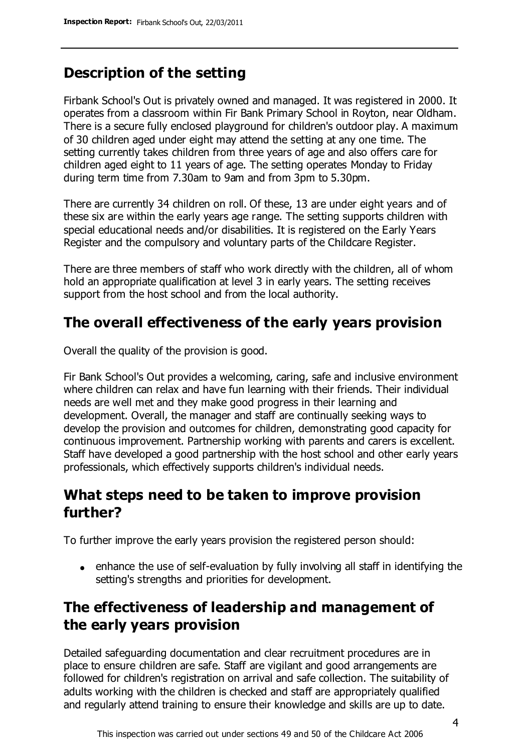## **Description of the setting**

Firbank School's Out is privately owned and managed. It was registered in 2000. It operates from a classroom within Fir Bank Primary School in Royton, near Oldham. There is a secure fully enclosed playground for children's outdoor play. A maximum of 30 children aged under eight may attend the setting at any one time. The setting currently takes children from three years of age and also offers care for children aged eight to 11 years of age. The setting operates Monday to Friday during term time from 7.30am to 9am and from 3pm to 5.30pm.

There are currently 34 children on roll. Of these, 13 are under eight years and of these six are within the early years age range. The setting supports children with special educational needs and/or disabilities. It is registered on the Early Years Register and the compulsory and voluntary parts of the Childcare Register.

There are three members of staff who work directly with the children, all of whom hold an appropriate qualification at level 3 in early years. The setting receives support from the host school and from the local authority.

## **The overall effectiveness of the early years provision**

Overall the quality of the provision is good.

Fir Bank School's Out provides a welcoming, caring, safe and inclusive environment where children can relax and have fun learning with their friends. Their individual needs are well met and they make good progress in their learning and development. Overall, the manager and staff are continually seeking ways to develop the provision and outcomes for children, demonstrating good capacity for continuous improvement. Partnership working with parents and carers is excellent. Staff have developed a good partnership with the host school and other early years professionals, which effectively supports children's individual needs.

## **What steps need to be taken to improve provision further?**

To further improve the early years provision the registered person should:

enhance the use of self-evaluation by fully involving all staff in identifying the setting's strengths and priorities for development.

## **The effectiveness of leadership and management of the early years provision**

Detailed safeguarding documentation and clear recruitment procedures are in place to ensure children are safe. Staff are vigilant and good arrangements are followed for children's registration on arrival and safe collection. The suitability of adults working with the children is checked and staff are appropriately qualified and regularly attend training to ensure their knowledge and skills are up to date.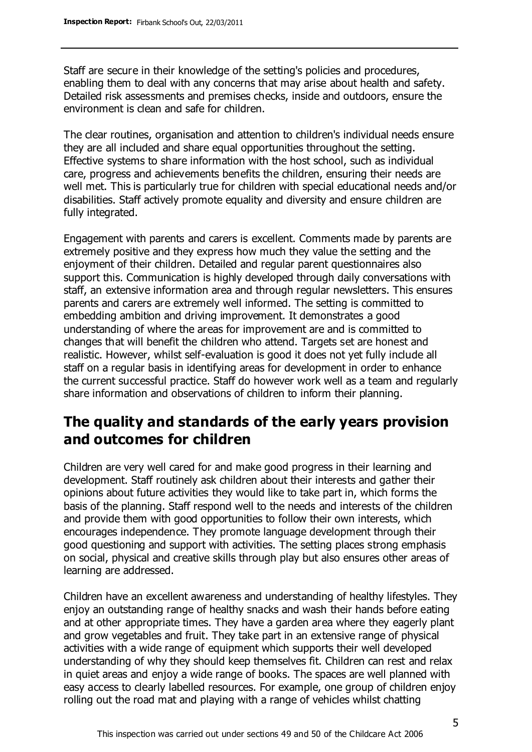Staff are secure in their knowledge of the setting's policies and procedures, enabling them to deal with any concerns that may arise about health and safety. Detailed risk assessments and premises checks, inside and outdoors, ensure the environment is clean and safe for children.

The clear routines, organisation and attention to children's individual needs ensure they are all included and share equal opportunities throughout the setting. Effective systems to share information with the host school, such as individual care, progress and achievements benefits the children, ensuring their needs are well met. This is particularly true for children with special educational needs and/or disabilities. Staff actively promote equality and diversity and ensure children are fully integrated.

Engagement with parents and carers is excellent. Comments made by parents are extremely positive and they express how much they value the setting and the enjoyment of their children. Detailed and regular parent questionnaires also support this. Communication is highly developed through daily conversations with staff, an extensive information area and through regular newsletters. This ensures parents and carers are extremely well informed. The setting is committed to embedding ambition and driving improvement. It demonstrates a good understanding of where the areas for improvement are and is committed to changes that will benefit the children who attend. Targets set are honest and realistic. However, whilst self-evaluation is good it does not yet fully include all staff on a regular basis in identifying areas for development in order to enhance the current successful practice. Staff do however work well as a team and regularly share information and observations of children to inform their planning.

## **The quality and standards of the early years provision and outcomes for children**

Children are very well cared for and make good progress in their learning and development. Staff routinely ask children about their interests and gather their opinions about future activities they would like to take part in, which forms the basis of the planning. Staff respond well to the needs and interests of the children and provide them with good opportunities to follow their own interests, which encourages independence. They promote language development through their good questioning and support with activities. The setting places strong emphasis on social, physical and creative skills through play but also ensures other areas of learning are addressed.

Children have an excellent awareness and understanding of healthy lifestyles. They enjoy an outstanding range of healthy snacks and wash their hands before eating and at other appropriate times. They have a garden area where they eagerly plant and grow vegetables and fruit. They take part in an extensive range of physical activities with a wide range of equipment which supports their well developed understanding of why they should keep themselves fit. Children can rest and relax in quiet areas and enjoy a wide range of books. The spaces are well planned with easy access to clearly labelled resources. For example, one group of children enjoy rolling out the road mat and playing with a range of vehicles whilst chatting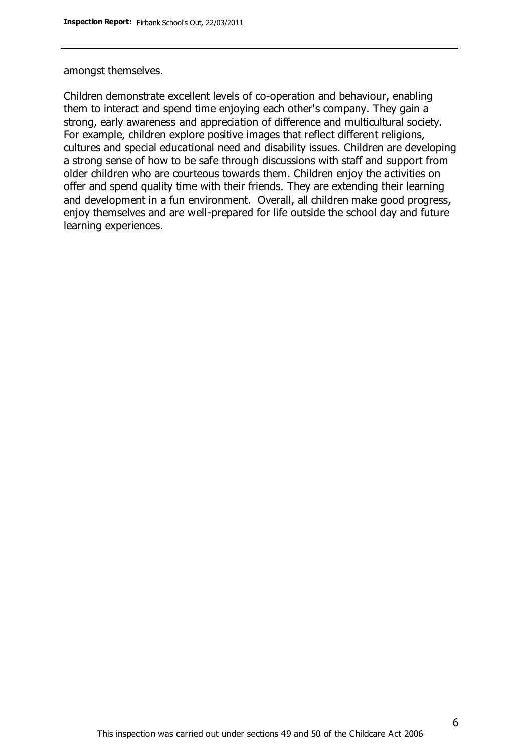amongst themselves.

Children demonstrate excellent levels of co-operation and behaviour, enabling them to interact and spend time enjoying each other's company. They gain a strong, early awareness and appreciation of difference and multicultural society. For example, children explore positive images that reflect different religions, cultures and special educational need and disability issues. Children are developing a strong sense of how to be safe through discussions with staff and support from older children who are courteous towards them. Children enjoy the activities on offer and spend quality time with their friends. They are extending their learning and development in a fun environment. Overall, all children make good progress, enjoy themselves and are well-prepared for life outside the school day and future learning experiences.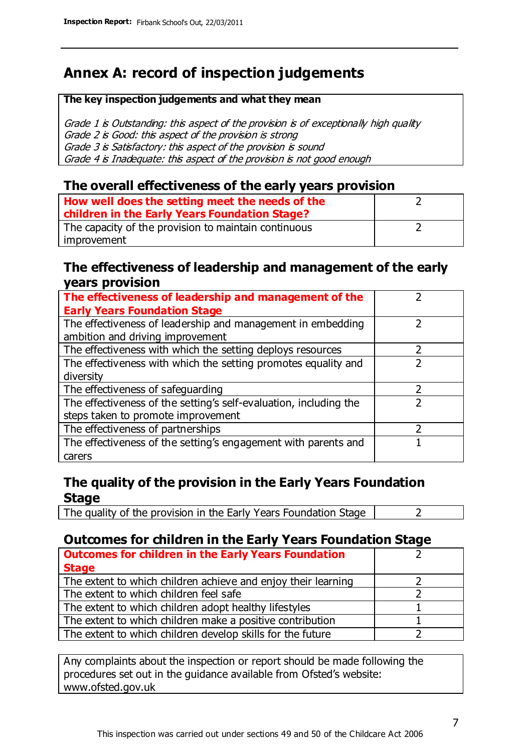# **Annex A: record of inspection judgements**

#### **The key inspection judgements and what they mean**

Grade 1 is Outstanding: this aspect of the provision is of exceptionally high quality Grade 2 is Good: this aspect of the provision is strong Grade 3 is Satisfactory: this aspect of the provision is sound Grade 4 is Inadequate: this aspect of the provision is not good enough

#### **The overall effectiveness of the early years provision**

| How well does the setting meet the needs of the<br>children in the Early Years Foundation Stage? |  |
|--------------------------------------------------------------------------------------------------|--|
| The capacity of the provision to maintain continuous                                             |  |
| improvement                                                                                      |  |

#### **The effectiveness of leadership and management of the early years provision**

| The effectiveness of leadership and management of the             |  |
|-------------------------------------------------------------------|--|
| <b>Early Years Foundation Stage</b>                               |  |
| The effectiveness of leadership and management in embedding       |  |
| ambition and driving improvement                                  |  |
| The effectiveness with which the setting deploys resources        |  |
| The effectiveness with which the setting promotes equality and    |  |
| diversity                                                         |  |
| The effectiveness of safeguarding                                 |  |
| The effectiveness of the setting's self-evaluation, including the |  |
| steps taken to promote improvement                                |  |
| The effectiveness of partnerships                                 |  |
| The effectiveness of the setting's engagement with parents and    |  |
| carers                                                            |  |

#### **The quality of the provision in the Early Years Foundation Stage**

The quality of the provision in the Early Years Foundation Stage  $\vert$  2

#### **Outcomes for children in the Early Years Foundation Stage**

| <b>Outcomes for children in the Early Years Foundation</b>    |  |
|---------------------------------------------------------------|--|
| <b>Stage</b>                                                  |  |
| The extent to which children achieve and enjoy their learning |  |
| The extent to which children feel safe                        |  |
| The extent to which children adopt healthy lifestyles         |  |
| The extent to which children make a positive contribution     |  |
| The extent to which children develop skills for the future    |  |

Any complaints about the inspection or report should be made following the procedures set out in the guidance available from Ofsted's website: www.ofsted.gov.uk